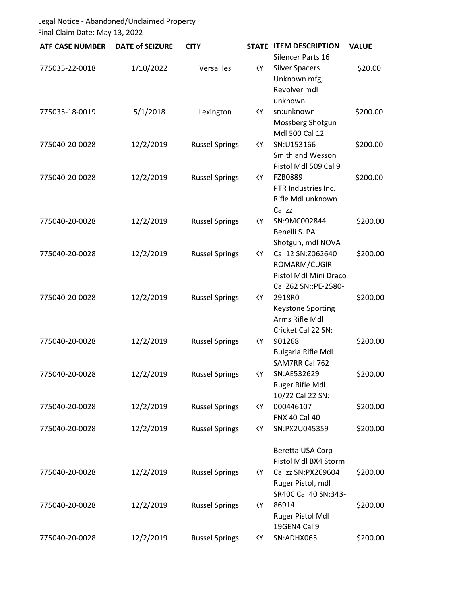Legal Notice - Abandoned/Unclaimed Property Final Claim Date: May 13, 2022

| <b>ATF CASE NUMBER</b> | <b>DATE of SEIZURE</b> | <b>CITY</b>           | <b>STATE</b> | <b>ITEM DESCRIPTION</b>               | <b>VALUE</b> |
|------------------------|------------------------|-----------------------|--------------|---------------------------------------|--------------|
| 775035-22-0018         |                        |                       |              | Silencer Parts 16                     |              |
|                        | 1/10/2022              | Versailles            | KY           | <b>Silver Spacers</b><br>Unknown mfg, | \$20.00      |
|                        |                        |                       |              | Revolver mdl                          |              |
|                        |                        |                       |              | unknown                               |              |
| 775035-18-0019         | 5/1/2018               | Lexington             | KY           | sn:unknown                            | \$200.00     |
|                        |                        |                       |              | Mossberg Shotgun                      |              |
|                        |                        |                       |              | Mdl 500 Cal 12                        |              |
| 775040-20-0028         | 12/2/2019              | <b>Russel Springs</b> | KY           | SN:U153166                            | \$200.00     |
|                        |                        |                       |              | Smith and Wesson                      |              |
|                        |                        |                       |              | Pistol Mdl 509 Cal 9                  |              |
| 775040-20-0028         | 12/2/2019              | <b>Russel Springs</b> | KY           | FZB0889                               | \$200.00     |
|                        |                        |                       |              | PTR Industries Inc.                   |              |
|                        |                        |                       |              | Rifle Mdl unknown                     |              |
|                        |                        |                       |              | Cal zz                                |              |
| 775040-20-0028         | 12/2/2019              | <b>Russel Springs</b> | KY           | SN:9MC002844                          | \$200.00     |
|                        |                        |                       |              | Benelli S. PA                         |              |
|                        |                        |                       |              | Shotgun, mdl NOVA                     |              |
| 775040-20-0028         | 12/2/2019              | <b>Russel Springs</b> | KY           | Cal 12 SN:Z062640                     | \$200.00     |
|                        |                        |                       |              | ROMARM/CUGIR                          |              |
|                        |                        |                       |              | Pistol Mdl Mini Draco                 |              |
|                        |                        |                       |              | Cal Z62 SN::PE-2580-<br>2918R0        | \$200.00     |
| 775040-20-0028         | 12/2/2019              | <b>Russel Springs</b> | KY           | <b>Keystone Sporting</b>              |              |
|                        |                        |                       |              | Arms Rifle Mdl                        |              |
|                        |                        |                       |              | Cricket Cal 22 SN:                    |              |
| 775040-20-0028         | 12/2/2019              | <b>Russel Springs</b> | KY           | 901268                                | \$200.00     |
|                        |                        |                       |              | Bulgaria Rifle Mdl                    |              |
|                        |                        |                       |              | SAM7RR Cal 762                        |              |
| 775040-20-0028         | 12/2/2019              | <b>Russel Springs</b> | ΚY           | SN:AE532629                           | \$200.00     |
|                        |                        |                       |              | Ruger Rifle Mdl                       |              |
|                        |                        |                       |              | 10/22 Cal 22 SN:                      |              |
| 775040-20-0028         | 12/2/2019              | <b>Russel Springs</b> | KY           | 000446107                             | \$200.00     |
|                        |                        |                       |              | <b>FNX 40 Cal 40</b>                  |              |
| 775040-20-0028         | 12/2/2019              | <b>Russel Springs</b> | KY           | SN:PX2U045359                         | \$200.00     |
|                        |                        |                       |              | Beretta USA Corp                      |              |
|                        |                        |                       |              | Pistol Mdl BX4 Storm                  |              |
| 775040-20-0028         | 12/2/2019              | <b>Russel Springs</b> | KY           | Cal zz SN:PX269604                    | \$200.00     |
|                        |                        |                       |              | Ruger Pistol, mdl                     |              |
|                        |                        |                       |              | SR40C Cal 40 SN:343-                  |              |
| 775040-20-0028         | 12/2/2019              | <b>Russel Springs</b> | KY           | 86914                                 | \$200.00     |
|                        |                        |                       |              | Ruger Pistol Mdl                      |              |
|                        |                        |                       |              | 19GEN4 Cal 9                          |              |
| 775040-20-0028         | 12/2/2019              | <b>Russel Springs</b> | ΚY           | SN:ADHX065                            | \$200.00     |